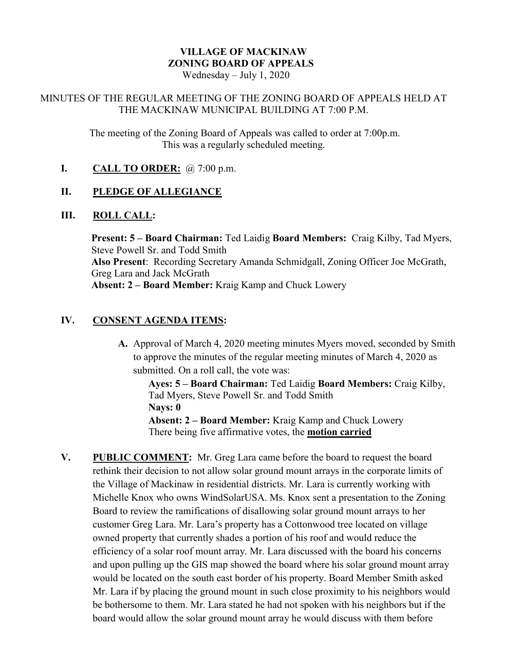# **VILLAGE OF MACKINAW ZONING BOARD OF APPEALS**

Wednesday – July 1, 2020

#### MINUTES OF THE REGULAR MEETING OF THE ZONING BOARD OF APPEALS HELD AT THE MACKINAW MUNICIPAL BUILDING AT 7:00 P.M.

The meeting of the Zoning Board of Appeals was called to order at 7:00p.m. This was a regularly scheduled meeting.

**I. CALL TO ORDER:** @ 7:00 p.m.

# **II. PLEDGE OF ALLEGIANCE**

### **III. ROLL CALL:**

**Present: 5 – Board Chairman:** Ted Laidig **Board Members:** Craig Kilby, Tad Myers, Steve Powell Sr. and Todd Smith **Also Present**: Recording Secretary Amanda Schmidgall, Zoning Officer Joe McGrath, Greg Lara and Jack McGrath **Absent: 2 – Board Member:** Kraig Kamp and Chuck Lowery

# **IV. CONSENT AGENDA ITEMS:**

**A.** Approval of March 4, 2020 meeting minutes Myers moved, seconded by Smith to approve the minutes of the regular meeting minutes of March 4, 2020 as submitted. On a roll call, the vote was:

**Ayes: 5 – Board Chairman:** Ted Laidig **Board Members:** Craig Kilby, Tad Myers, Steve Powell Sr. and Todd Smith **Nays: 0**

**Absent: 2 – Board Member:** Kraig Kamp and Chuck Lowery There being five affirmative votes, the **motion carried**

**V. PUBLIC COMMENT:** Mr. Greg Lara came before the board to request the board rethink their decision to not allow solar ground mount arrays in the corporate limits of the Village of Mackinaw in residential districts. Mr. Lara is currently working with Michelle Knox who owns WindSolarUSA. Ms. Knox sent a presentation to the Zoning Board to review the ramifications of disallowing solar ground mount arrays to her customer Greg Lara. Mr. Lara's property has a Cottonwood tree located on village owned property that currently shades a portion of his roof and would reduce the efficiency of a solar roof mount array. Mr. Lara discussed with the board his concerns and upon pulling up the GIS map showed the board where his solar ground mount array would be located on the south east border of his property. Board Member Smith asked Mr. Lara if by placing the ground mount in such close proximity to his neighbors would be bothersome to them. Mr. Lara stated he had not spoken with his neighbors but if the board would allow the solar ground mount array he would discuss with them before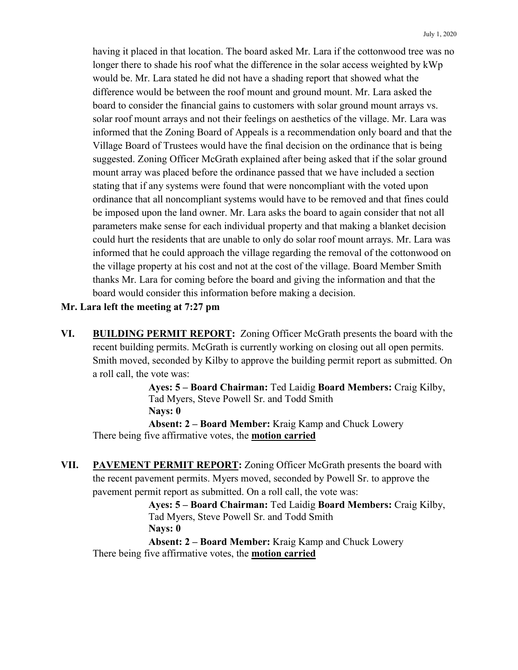having it placed in that location. The board asked Mr. Lara if the cottonwood tree was no longer there to shade his roof what the difference in the solar access weighted by kWp would be. Mr. Lara stated he did not have a shading report that showed what the difference would be between the roof mount and ground mount. Mr. Lara asked the board to consider the financial gains to customers with solar ground mount arrays vs. solar roof mount arrays and not their feelings on aesthetics of the village. Mr. Lara was informed that the Zoning Board of Appeals is a recommendation only board and that the Village Board of Trustees would have the final decision on the ordinance that is being suggested. Zoning Officer McGrath explained after being asked that if the solar ground mount array was placed before the ordinance passed that we have included a section stating that if any systems were found that were noncompliant with the voted upon ordinance that all noncompliant systems would have to be removed and that fines could be imposed upon the land owner. Mr. Lara asks the board to again consider that not all parameters make sense for each individual property and that making a blanket decision could hurt the residents that are unable to only do solar roof mount arrays. Mr. Lara was informed that he could approach the village regarding the removal of the cottonwood on the village property at his cost and not at the cost of the village. Board Member Smith thanks Mr. Lara for coming before the board and giving the information and that the board would consider this information before making a decision.

#### **Mr. Lara left the meeting at 7:27 pm**

**VI. BUILDING PERMIT REPORT:** Zoning Officer McGrath presents the board with the recent building permits. McGrath is currently working on closing out all open permits. Smith moved, seconded by Kilby to approve the building permit report as submitted. On a roll call, the vote was:

> **Ayes: 5 – Board Chairman:** Ted Laidig **Board Members:** Craig Kilby, Tad Myers, Steve Powell Sr. and Todd Smith **Nays: 0**

**Absent: 2 – Board Member:** Kraig Kamp and Chuck Lowery There being five affirmative votes, the **motion carried**

**VII. PAVEMENT PERMIT REPORT:** Zoning Officer McGrath presents the board with the recent pavement permits. Myers moved, seconded by Powell Sr. to approve the pavement permit report as submitted. On a roll call, the vote was:

> **Ayes: 5 – Board Chairman:** Ted Laidig **Board Members:** Craig Kilby, Tad Myers, Steve Powell Sr. and Todd Smith **Nays: 0**

**Absent: 2 – Board Member:** Kraig Kamp and Chuck Lowery There being five affirmative votes, the **motion carried**